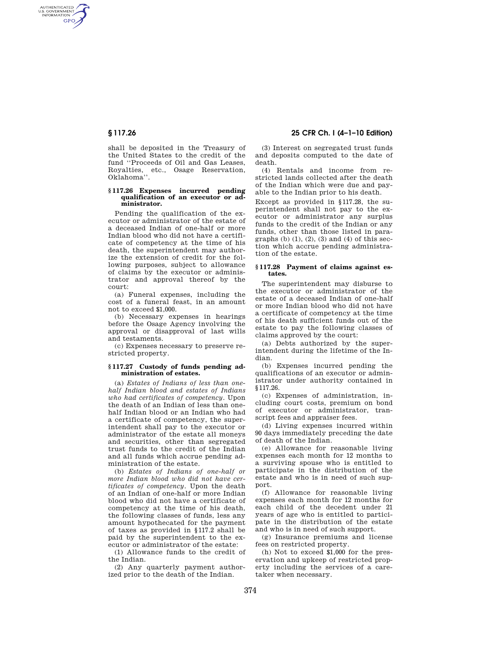AUTHENTICATED<br>U.S. GOVERNMENT<br>INFORMATION GPO

> shall be deposited in the Treasury of the United States to the credit of the fund ''Proceeds of Oil and Gas Leases, Royalties, etc., Osage Reservation, Oklahoma''.

#### **§ 117.26 Expenses incurred pending qualification of an executor or administrator.**

Pending the qualification of the executor or administrator of the estate of a deceased Indian of one-half or more Indian blood who did not have a certificate of competency at the time of his death, the superintendent may authorize the extension of credit for the following purposes, subject to allowance of claims by the executor or administrator and approval thereof by the court:

(a) Funeral expenses, including the cost of a funeral feast, in an amount not to exceed \$1,000.

(b) Necessary expenses in hearings before the Osage Agency involving the approval or disapproval of last wills and testaments.

(c) Expenses necessary to preserve restricted property.

## **§ 117.27 Custody of funds pending administration of estates.**

(a) *Estates of Indians of less than onehalf Indian blood and estates of Indians who had certificates of competency.* Upon the death of an Indian of less than onehalf Indian blood or an Indian who had a certificate of competency, the superintendent shall pay to the executor or administrator of the estate all moneys and securities, other than segregated trust funds to the credit of the Indian and all funds which accrue pending administration of the estate.

(b) *Estates of Indians of one-half or more Indian blood who did not have certificates of competency.* Upon the death of an Indian of one-half or more Indian blood who did not have a certificate of competency at the time of his death, the following classes of funds, less any amount hypothecated for the payment of taxes as provided in §117.2 shall be paid by the superintendent to the executor or administrator of the estate:

(1) Allowance funds to the credit of the Indian.

(2) Any quarterly payment authorized prior to the death of the Indian.

**§ 117.26 25 CFR Ch. I (4–1–10 Edition)** 

(3) Interest on segregated trust funds and deposits computed to the date of death.

(4) Rentals and income from restricted lands collected after the death of the Indian which were due and payable to the Indian prior to his death.

Except as provided in §117.28, the superintendent shall not pay to the executor or administrator any surplus funds to the credit of the Indian or any funds, other than those listed in paragraphs  $(b)$   $(1)$ ,  $(2)$ ,  $(3)$  and  $(4)$  of this section which accrue pending administration of the estate.

#### **§ 117.28 Payment of claims against estates.**

The superintendent may disburse to the executor or administrator of the estate of a deceased Indian of one-half or more Indian blood who did not have a certificate of competency at the time of his death sufficient funds out of the estate to pay the following classes of claims approved by the court:

(a) Debts authorized by the superintendent during the lifetime of the Indian.

(b) Expenses incurred pending the qualifications of an executor or administrator under authority contained in §117.26.

(c) Expenses of administration, including court costs, premium on bond of executor or administrator, transcript fees and appraiser fees.

(d) Living expenses incurred within 90 days immediately preceding the date of death of the Indian.

(e) Allowance for reasonable living expenses each month for 12 months to a surviving spouse who is entitled to participate in the distribution of the estate and who is in need of such support.

(f) Allowance for reasonable living expenses each month for 12 months for each child of the decedent under 21 years of age who is entitled to participate in the distribution of the estate and who is in need of such support.

(g) Insurance premiums and license fees on restricted property.

(h) Not to exceed \$1,000 for the preservation and upkeep of restricted property including the services of a caretaker when necessary.